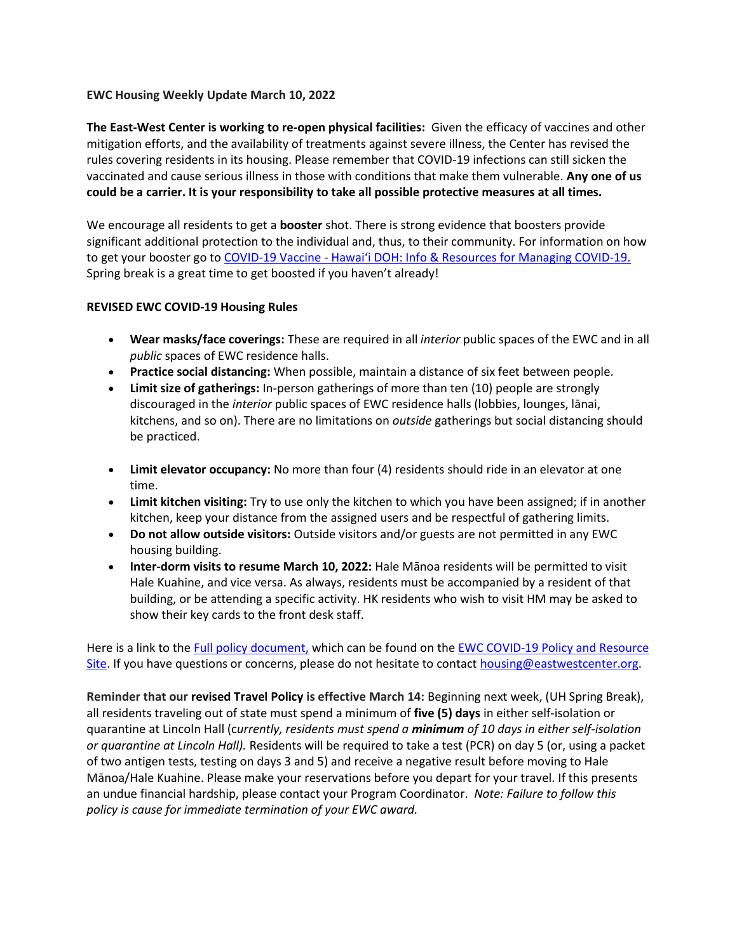#### **EWC Housing Weekly Update March 10, 2022**

**The East-West Center is working to re-open physical facilities:** Given the efficacy of vaccines and other mitigation efforts, and the availability of treatments against severe illness, the Center has revised the rules covering residents in its housing. Please remember that COVID-19 infections can still sicken the vaccinated and cause serious illness in those with conditions that make them vulnerable. **Any one of us could be a carrier. It is your responsibility to take all possible protective measures at all times.**

We encourage all residents to get a **booster** shot. There is strong evidence that boosters provide significant additional protection to the individual and, thus, to their community. For information on how to get your booster go to COVID-19 Vaccine - [Hawai'i DOH: Info & Resources for Managing COVID](https://hawaiicovid19.com/vaccine/)-19. Spring break is a great time to get boosted if you haven't already!

#### **REVISED EWC COVID-19 Housing Rules**

- **Wear masks/face coverings:** These are required in all *interior* public spaces of the EWC and in all *public* spaces of EWC residence halls.
- **Practice social distancing:** When possible, maintain a distance of six feet between people.
- **Limit size of gatherings:** In-person gatherings of more than ten (10) people are strongly discouraged in the *interior* public spaces of EWC residence halls (lobbies, lounges, lānai, kitchens, and so on). There are no limitations on *outside* gatherings but social distancing should be practiced.
- **Limit elevator occupancy:** No more than four (4) residents should ride in an elevator at one time.
- **Limit kitchen visiting:** Try to use only the kitchen to which you have been assigned; if in another kitchen, keep your distance from the assigned users and be respectful of gathering limits.
- **Do not allow outside visitors:** Outside visitors and/or guests are not permitted in any EWC housing building.
- **Inter-dorm visits to resume March 10, 2022:** Hale Mānoa residents will be permitted to visit Hale Kuahine, and vice versa. As always, residents must be accompanied by a resident of that building, or be attending a specific activity. HK residents who wish to visit HM may be asked to show their key cards to the front desk staff.

Here is a link to the [Full policy document,](https://urldefense.proofpoint.com/v2/url?u=https-3A__ewcparticipantinfo.org_wp-2Dcontent_uploads_2022_03_New-2DEWC-2DCOVID-2D19-2DHousing-2DRules-2DUpdated-2D3.10.2022.pdf&d=DwMFaQ&c=euGZstcaTDllvimEN8b7jXrwqOf-v5A_CdpgnVfiiMM&r=sjCoHaVUe8_a1MXsziR411ri4sB3BX3q50L3el6sXMQ&m=wu3pL9md9-op8ZI7pmkU2Z81s3GpweUEWEfvLCyvmTU&s=yyYRgx691arJ7YzhIHlpnu315FNaIFatv9k6hCmNmAc&e=) which can be found on th[e EWC COVID-19 Policy and Resource](https://urldefense.proofpoint.com/v2/url?u=https-3A__ewcparticipantinfo.org_covid-2D19_&d=DwMFaQ&c=euGZstcaTDllvimEN8b7jXrwqOf-v5A_CdpgnVfiiMM&r=sjCoHaVUe8_a1MXsziR411ri4sB3BX3q50L3el6sXMQ&m=wu3pL9md9-op8ZI7pmkU2Z81s3GpweUEWEfvLCyvmTU&s=w6ULw-ytTA71FpSaXQlVbZIyjDRFGpJz1JedHu80GL4&e=)  [Site.](https://urldefense.proofpoint.com/v2/url?u=https-3A__ewcparticipantinfo.org_covid-2D19_&d=DwMFaQ&c=euGZstcaTDllvimEN8b7jXrwqOf-v5A_CdpgnVfiiMM&r=sjCoHaVUe8_a1MXsziR411ri4sB3BX3q50L3el6sXMQ&m=wu3pL9md9-op8ZI7pmkU2Z81s3GpweUEWEfvLCyvmTU&s=w6ULw-ytTA71FpSaXQlVbZIyjDRFGpJz1JedHu80GL4&e=) If you have questions or concerns, please do not hesitate to contact [housing@eastwestcenter.org.](mailto:housing@eastwestcenter.org)

**Reminder that our [revised Travel Policy](https://urldefense.proofpoint.com/v2/url?u=https-3A__ewcparticipantinfo.org_wp-2Dcontent_uploads_2022_02_Travel-2DPolicy-2DUpdated-2D3.14.22.pdf&d=DwMFaQ&c=euGZstcaTDllvimEN8b7jXrwqOf-v5A_CdpgnVfiiMM&r=sjCoHaVUe8_a1MXsziR411ri4sB3BX3q50L3el6sXMQ&m=wu3pL9md9-op8ZI7pmkU2Z81s3GpweUEWEfvLCyvmTU&s=6hszBL4L2KGDA4Rx6z7pjx9f0wV8k9E-LXm4Ho0SPmU&e=) is effective March 14:** Beginning next week, (UH Spring Break), all residents traveling out of state must spend a minimum of **five (5) days** in either self-isolation or quarantine at Lincoln Hall (c*urrently, residents must spend a minimum of 10 days in either self-isolation or quarantine at Lincoln Hall).* Residents will be required to take a test (PCR) on day 5 (or, using a packet of two antigen tests, testing on days 3 and 5) and receive a negative result before moving to Hale Mānoa/Hale Kuahine. Please make your reservations before you depart for your travel. If this presents an undue financial hardship, please contact your Program Coordinator. *Note: Failure to follow this policy is cause for immediate termination of your EWC award.*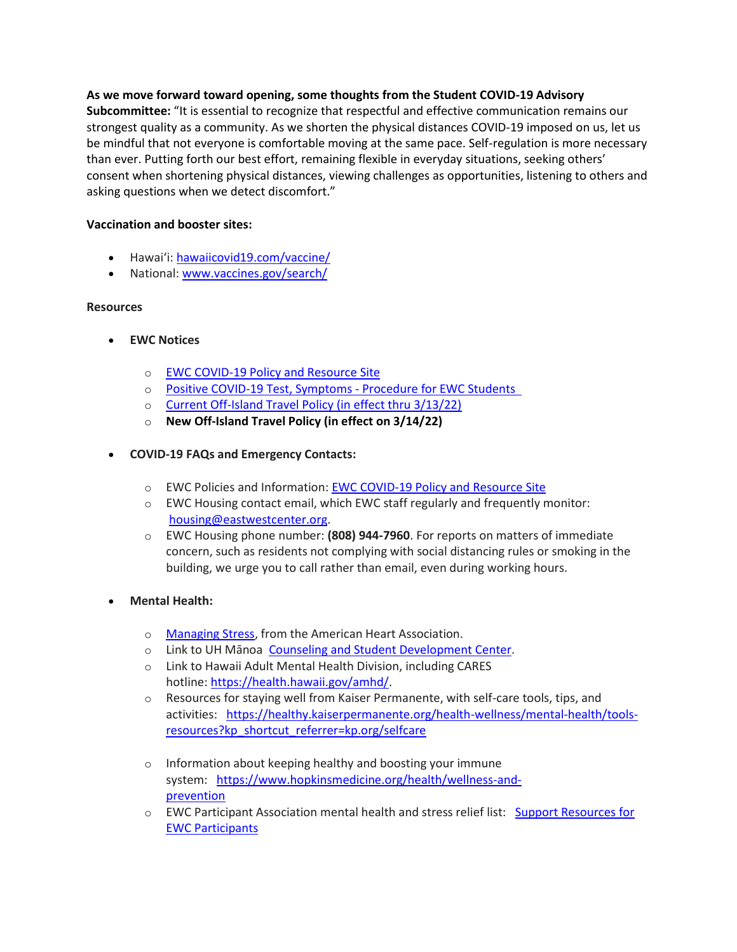# **As we move forward toward opening, some thoughts from the Student COVID-19 Advisory**

**Subcommittee:** "It is essential to recognize that respectful and effective communication remains our strongest quality as a community. As we shorten the physical distances COVID-19 imposed on us, let us be mindful that not everyone is comfortable moving at the same pace. Self-regulation is more necessary than ever. Putting forth our best effort, remaining flexible in everyday situations, seeking others' consent when shortening physical distances, viewing challenges as opportunities, listening to others and asking questions when we detect discomfort."

## **Vaccination and booster sites:**

- Hawaiʻi: [hawaiicovid19.com/vaccine/](https://hawaiicovid19.com/vaccine/)
- National[: www.vaccines.gov/search/](https://urldefense.proofpoint.com/v2/url?u=https-3A__www.vaccines.gov_search_&d=DwMFaQ&c=euGZstcaTDllvimEN8b7jXrwqOf-v5A_CdpgnVfiiMM&r=sjCoHaVUe8_a1MXsziR411ri4sB3BX3q50L3el6sXMQ&m=wu3pL9md9-op8ZI7pmkU2Z81s3GpweUEWEfvLCyvmTU&s=Z0FT7BVTakJs-m9ScL5IDJslOnGYvt59Z8QpnKNdPco&e=)

# **Resources**

- **EWC Notices**
	- o [EWC COVID-19 Policy and Resource Site](https://urldefense.proofpoint.com/v2/url?u=https-3A__ewcparticipantinfo.org_covid-2D19_&d=DwMFaQ&c=euGZstcaTDllvimEN8b7jXrwqOf-v5A_CdpgnVfiiMM&r=3FPQcXK5sxYRrGCCxQc5PNSb-_SuaL_bSgfyHLgu3XI&m=NeEuRGBZcB6XdPpyhoUn4swvNjBnveDWGZ1brp8cIwI&s=psWXjZhChjGDJkHaOVt2bwTJxxk1NVhXgu70sXTpbpE&e=)
	- o Positive COVID-19 Test, Symptoms -[Procedure for EWC Students](https://urldefense.proofpoint.com/v2/url?u=https-3A__ewcparticipantinfo.org_wp-2Dcontent_uploads_2021_11_Positive-2DTest-2DSymptoms-2DProcedure-2Dfor-2DStudents.pdf&d=DwMFaQ&c=euGZstcaTDllvimEN8b7jXrwqOf-v5A_CdpgnVfiiMM&r=sjCoHaVUe8_a1MXsziR411ri4sB3BX3q50L3el6sXMQ&m=wu3pL9md9-op8ZI7pmkU2Z81s3GpweUEWEfvLCyvmTU&s=dLaZLwcmajDbE6G2uAjxvrC_2HVSDw87V6JtKOb_Ul0&e=)
	- o [Current Off-Island Travel Policy \(in effect thru 3/13/22\)](https://urldefense.proofpoint.com/v2/url?u=https-3A__ewcparticipantinfo.org_wp-2Dcontent_uploads_2021_11_Travel-2DPolicy-2Dfor-2DStudents-2DUpdated11-2D3-2D21.pdf&d=DwMFaQ&c=euGZstcaTDllvimEN8b7jXrwqOf-v5A_CdpgnVfiiMM&r=sjCoHaVUe8_a1MXsziR411ri4sB3BX3q50L3el6sXMQ&m=wu3pL9md9-op8ZI7pmkU2Z81s3GpweUEWEfvLCyvmTU&s=TrYEvM3LL9cC4iSaqdrcyElPAI-3QATdouSA1paiN9M&e=)
	- o **[New Off-Island Travel Policy \(in effect on 3/14/22\)](https://urldefense.proofpoint.com/v2/url?u=https-3A__ewcparticipantinfo.org_wp-2Dcontent_uploads_2022_02_Travel-2DPolicy-2DUpdated-2D3.14.22.pdf&d=DwMFaQ&c=euGZstcaTDllvimEN8b7jXrwqOf-v5A_CdpgnVfiiMM&r=sjCoHaVUe8_a1MXsziR411ri4sB3BX3q50L3el6sXMQ&m=wu3pL9md9-op8ZI7pmkU2Z81s3GpweUEWEfvLCyvmTU&s=6hszBL4L2KGDA4Rx6z7pjx9f0wV8k9E-LXm4Ho0SPmU&e=)**
- **COVID-19 FAQs and Emergency Contacts:**
	- o EWC Policies and Information: [EWC COVID-19 Policy and Resource Site](https://urldefense.proofpoint.com/v2/url?u=https-3A__ewcparticipantinfo.org_covid-2D19_&d=DwMFaQ&c=euGZstcaTDllvimEN8b7jXrwqOf-v5A_CdpgnVfiiMM&r=3FPQcXK5sxYRrGCCxQc5PNSb-_SuaL_bSgfyHLgu3XI&m=NeEuRGBZcB6XdPpyhoUn4swvNjBnveDWGZ1brp8cIwI&s=psWXjZhChjGDJkHaOVt2bwTJxxk1NVhXgu70sXTpbpE&e=)
	- $\circ$  EWC Housing contact email, which EWC staff regularly and frequently monitor: [housing@eastwestcenter.org](mailto:housing@eastwestcenter.org).
	- o EWC Housing phone number: **(808) 944-7960**. For reports on matters of immediate concern, such as residents not complying with social distancing rules or smoking in the building, we urge you to call rather than email, even during working hours.

# • **Mental Health:**

- o [Managing Stress](https://urldefense.proofpoint.com/v2/url?u=https-3A__www.heart.org_en_healthy-2Dliving_healthy-2Dlifestyle_stress-2Dmanagement_3-2Dtips-2Dto-2Dmanage-2Dstress&d=DwMFaQ&c=euGZstcaTDllvimEN8b7jXrwqOf-v5A_CdpgnVfiiMM&r=3FPQcXK5sxYRrGCCxQc5PNSb-_SuaL_bSgfyHLgu3XI&m=DFa_g2AmhabelwvrqHcTxuYqCMz5HzQYOl-ITmKQUfY&s=brkk3h1YsapP-lIVcxt7MNYAlm4bQtz7YKIJGofeUkY&e=), from the American Heart Association.
- o Link to UH Mānoa  [Counseling and Student Development Center](https://urldefense.proofpoint.com/v2/url?u=http-3A__www.manoa.hawaii.edu_counseling&d=DwMFaQ&c=euGZstcaTDllvimEN8b7jXrwqOf-v5A_CdpgnVfiiMM&r=3FPQcXK5sxYRrGCCxQc5PNSb-_SuaL_bSgfyHLgu3XI&m=am0JUX--VmENU0jPP_iW6ma-yLR9-vpVCXYuYLP_pnQ&s=KLUr2I-87m8x7gT-LRZ1FsUmDxTlS04cGYG1bEY4eOo&e=).
- o Link to Hawaii Adult Mental Health Division, including CARES hotline: [https://health.hawaii.gov/amhd/](https://urldefense.proofpoint.com/v2/url?u=https-3A__health.hawaii.gov_amhd_&d=DwMFaQ&c=euGZstcaTDllvimEN8b7jXrwqOf-v5A_CdpgnVfiiMM&r=3FPQcXK5sxYRrGCCxQc5PNSb-_SuaL_bSgfyHLgu3XI&m=am0JUX--VmENU0jPP_iW6ma-yLR9-vpVCXYuYLP_pnQ&s=jGly2XqRyYGfSfcDeFQPHXOriK3LXX4ijFkZpV1I3l0&e=).
- o Resources for staying well from Kaiser Permanente, with self-care tools, tips, and activities:   [https://healthy.kaiserpermanente.org/health-wellness/mental-health/tools](https://urldefense.proofpoint.com/v2/url?u=https-3A__healthy.kaiserpermanente.org_health-2Dwellness_mental-2Dhealth_tools-2Dresources-3Fkp-5Fshortcut-5Freferrer-3Dkp.org_selfcare&d=DwMFaQ&c=euGZstcaTDllvimEN8b7jXrwqOf-v5A_CdpgnVfiiMM&r=3FPQcXK5sxYRrGCCxQc5PNSb-_SuaL_bSgfyHLgu3XI&m=Rbwxxn-uK8FQYTkEAvPhMEKvL03Z3qaRx6Mfv78EfmQ&s=WgR2DHjakUKCqJM0vJM8s8S_NAf2yZItFCWP7XTUlcc&e=)[resources?kp\\_shortcut\\_referrer=kp.org/selfcare](https://urldefense.proofpoint.com/v2/url?u=https-3A__healthy.kaiserpermanente.org_health-2Dwellness_mental-2Dhealth_tools-2Dresources-3Fkp-5Fshortcut-5Freferrer-3Dkp.org_selfcare&d=DwMFaQ&c=euGZstcaTDllvimEN8b7jXrwqOf-v5A_CdpgnVfiiMM&r=3FPQcXK5sxYRrGCCxQc5PNSb-_SuaL_bSgfyHLgu3XI&m=Rbwxxn-uK8FQYTkEAvPhMEKvL03Z3qaRx6Mfv78EfmQ&s=WgR2DHjakUKCqJM0vJM8s8S_NAf2yZItFCWP7XTUlcc&e=)
- o Information about keeping healthy and boosting your immune system: [https://www.hopkinsmedicine.org/health/wellness-and](https://urldefense.proofpoint.com/v2/url?u=https-3A__www.hopkinsmedicine.org_health_wellness-2Dand-2Dprevention&d=DwMFaQ&c=euGZstcaTDllvimEN8b7jXrwqOf-v5A_CdpgnVfiiMM&r=fzUXRvrK_egS-3t73UD_VQPWmsmmjR5g7liOveFRwTw&m=xQ1KMiKCgTEeIFLcoiItEyinYylVRMHzLz16Rh2E7OE&s=MLYw596o8ko-W_NETjId73A6wPdC94HCfkzyO-_cxq0&e=)[prevention](https://urldefense.proofpoint.com/v2/url?u=https-3A__www.hopkinsmedicine.org_health_wellness-2Dand-2Dprevention&d=DwMFaQ&c=euGZstcaTDllvimEN8b7jXrwqOf-v5A_CdpgnVfiiMM&r=fzUXRvrK_egS-3t73UD_VQPWmsmmjR5g7liOveFRwTw&m=xQ1KMiKCgTEeIFLcoiItEyinYylVRMHzLz16Rh2E7OE&s=MLYw596o8ko-W_NETjId73A6wPdC94HCfkzyO-_cxq0&e=)
- o EWC Participant Association mental health and stress relief list:   [Support Resources for](https://urldefense.proofpoint.com/v2/url?u=https-3A__content.getrave.com_content_5958154_b0e6c8eb-2D04ae-2D4fda-2D8b24-2Dc52d32318225_8d91da0e-2Db462-2D4c5b-2D815f-2D570227036179_Support-5FResources-5Ffor-5FEWC-5FStudents.pdf&d=DwMFaQ&c=euGZstcaTDllvimEN8b7jXrwqOf-v5A_CdpgnVfiiMM&r=fzUXRvrK_egS-3t73UD_VQPWmsmmjR5g7liOveFRwTw&m=xQ1KMiKCgTEeIFLcoiItEyinYylVRMHzLz16Rh2E7OE&s=OP6EvOWHfV2zxF3nz8Y8WTudS4Rae1oYrLMe7eHjJW8&e=)  [EWC Participants](https://urldefense.proofpoint.com/v2/url?u=https-3A__content.getrave.com_content_5958154_b0e6c8eb-2D04ae-2D4fda-2D8b24-2Dc52d32318225_8d91da0e-2Db462-2D4c5b-2D815f-2D570227036179_Support-5FResources-5Ffor-5FEWC-5FStudents.pdf&d=DwMFaQ&c=euGZstcaTDllvimEN8b7jXrwqOf-v5A_CdpgnVfiiMM&r=fzUXRvrK_egS-3t73UD_VQPWmsmmjR5g7liOveFRwTw&m=xQ1KMiKCgTEeIFLcoiItEyinYylVRMHzLz16Rh2E7OE&s=OP6EvOWHfV2zxF3nz8Y8WTudS4Rae1oYrLMe7eHjJW8&e=)